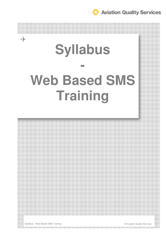**Q** Aviation Quality Services

# **Syllabus - Web Based SMS Training**



Syllabus – Web Based SMS Training © Aviation Quality Services

 $\rightarrow$ 

the contract of the contract of the contract of the contract of the contract of the contract of the contract of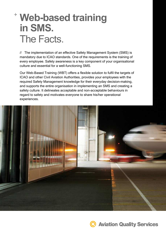## **Web-based training in SMS.** The Facts.

// The implementation of an effective Safety Management System (SMS) is mandatory due to ICAO standards. One of the requirements is the training of every employee. Safety awareness is a key component of your organisational culture and essential for a well-functioning SMS.

Our Web-Based Training (WBT) offers a flexible solution to fulfil the targets of ICAO and other Civil Aviation Authorities, provides your employees with the required Safety Management knowledge for their everyday decision-making, and supports the entire organisation in implementing an SMS and creating a safety culture. It delineates acceptable and non-acceptable behaviours in regard to safety and motivates everyone to share his/her operational experiences.